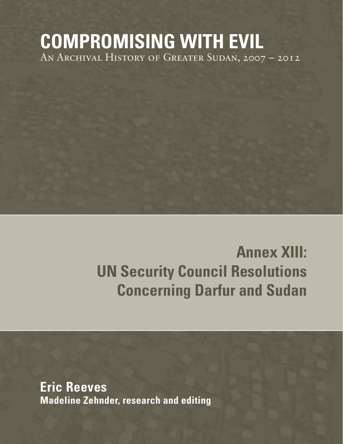# **COMPROMISING WITH EVIL** An Archival History of Greater Sudan, 2007 – 2012

# **Annex XIII: UN Security Council Resolutions Concerning Darfur and Sudan**

**Eric Reeves Madeline Zehnder, research and editing**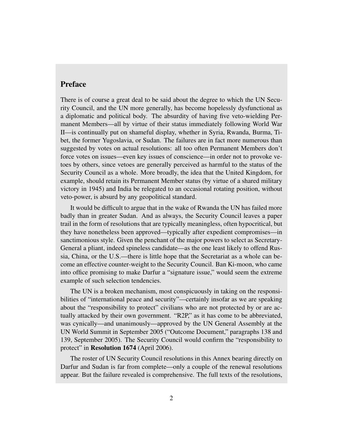## Preface

There is of course a great deal to be said about the degree to which the UN Security Council, and the UN more generally, has become hopelessly dysfunctional as a diplomatic and political body. The absurdity of having five veto-wielding Permanent Members—all by virtue of their status immediately following World War II—is continually put on shameful display, whether in Syria, Rwanda, Burma, Tibet, the former Yugoslavia, or Sudan. The failures are in fact more numerous than suggested by votes on actual resolutions: all too often Permanent Members don't force votes on issues—even key issues of conscience—in order not to provoke vetoes by others, since vetoes are generally perceived as harmful to the status of the Security Council as a whole. More broadly, the idea that the United Kingdom, for example, should retain its Permanent Member status (by virtue of a shared military victory in 1945) and India be relegated to an occasional rotating position, without veto-power, is absurd by any geopolitical standard.

It would be difficult to argue that in the wake of Rwanda the UN has failed more badly than in greater Sudan. And as always, the Security Council leaves a paper trail in the form of resolutions that are typically meaningless, often hypocritical, but they have nonetheless been approved—typically after expedient compromises—in sanctimonious style. Given the penchant of the major powers to select as Secretary-General a pliant, indeed spineless candidate—as the one least likely to offend Russia, China, or the U.S.—there is little hope that the Secretariat as a whole can become an effective counter-weight to the Security Council. Ban Ki-moon, who came into office promising to make Darfur a "signature issue," would seem the extreme example of such selection tendencies.

The UN is a broken mechanism, most conspicuously in taking on the responsibilities of "international peace and security"—certainly insofar as we are speaking about the "responsibility to protect" civilians who are not protected by or are actually attacked by their own government. "R2P," as it has come to be abbreviated, was cynically—and unanimously—approved by the UN General Assembly at the UN World Summit in September 2005 ("Outcome Document," paragraphs 138 and 139, September 2005). The Security Council would confirm the "responsibility to protect" in **Resolution 1674** (April 2006).

The roster of UN Security Council resolutions in this Annex bearing directly on Darfur and Sudan is far from complete—only a couple of the renewal resolutions appear. But the failure revealed is comprehensive. The full texts of the resolutions,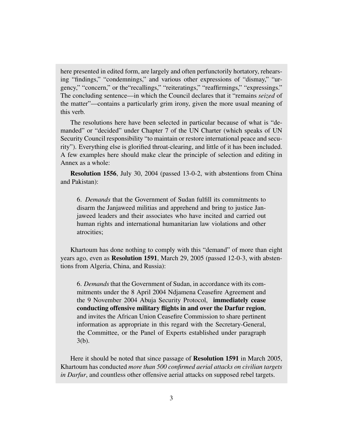here presented in edited form, are largely and often perfunctorily hortatory, rehearsing "findings," "condemnings," and various other expressions of "dismay," "urgency," "concern," or the"recallings," "reiteratings," "reaffirmings," "expressings." The concluding sentence—in which the Council declares that it "remains *seized* of the matter"—contains a particularly grim irony, given the more usual meaning of this verb.

The resolutions here have been selected in particular because of what is "demanded" or "decided" under Chapter 7 of the UN Charter (which speaks of UN Security Council responsibility "to maintain or restore international peace and security"). Everything else is glorified throat-clearing, and little of it has been included. A few examples here should make clear the principle of selection and editing in Annex as a whole:

Resolution 1556, July 30, 2004 (passed 13-0-2, with abstentions from China and Pakistan):

6. *Demands* that the Government of Sudan fulfill its commitments to disarm the Janjaweed militias and apprehend and bring to justice Janjaweed leaders and their associates who have incited and carried out human rights and international humanitarian law violations and other atrocities;

Khartoum has done nothing to comply with this "demand" of more than eight years ago, even as Resolution 1591, March 29, 2005 (passed 12-0-3, with abstentions from Algeria, China, and Russia):

6. *Demands* that the Government of Sudan, in accordance with its commitments under the 8 April 2004 Ndjamena Ceasefire Agreement and the 9 November 2004 Abuja Security Protocol, immediately cease conducting offensive military flights in and over the Darfur region, and invites the African Union Ceasefire Commission to share pertinent information as appropriate in this regard with the Secretary-General, the Committee, or the Panel of Experts established under paragraph 3(b).

Here it should be noted that since passage of Resolution 1591 in March 2005, Khartoum has conducted *more than 500 confirmed aerial attacks on civilian targets in Darfur*, and countless other offensive aerial attacks on supposed rebel targets.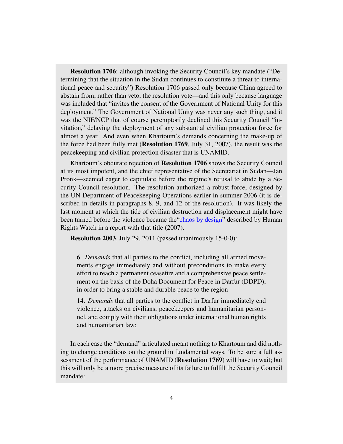Resolution 1706: although invoking the Security Council's key mandate ("Determining that the situation in the Sudan continues to constitute a threat to international peace and security") Resolution 1706 passed only because China agreed to abstain from, rather than veto, the resolution vote—and this only because language was included that "invites the consent of the Government of National Unity for this deployment." The Government of National Unity was never any such thing, and it was the NIF/NCP that of course peremptorily declined this Security Council "invitation," delaying the deployment of any substantial civilian protection force for almost a year. And even when Khartoum's demands concerning the make-up of the force had been fully met (Resolution 1769, July 31, 2007), the result was the peacekeeping and civilian protection disaster that is UNAMID.

Khartoum's obdurate rejection of Resolution 1706 shows the Security Council at its most impotent, and the chief representative of the Secretariat in Sudan—Jan Pronk—seemed eager to capitulate before the regime's refusal to abide by a Security Council resolution. The resolution authorized a robust force, designed by the UN Department of Peacekeeping Operations earlier in summer 2006 (it is described in details in paragraphs 8, 9, and 12 of the resolution). It was likely the last moment at which the tide of civilian destruction and displacement might have been turned before the violence became the["chaos by design"](http://www.hrw.org/reports/2007/09/19/darfur-2007-chaos-design) described by Human Rights Watch in a report with that title (2007).

Resolution 2003, July 29, 2011 (passed unanimously 15-0-0):

6. *Demands* that all parties to the conflict, including all armed movements engage immediately and without preconditions to make every effort to reach a permanent ceasefire and a comprehensive peace settlement on the basis of the Doha Document for Peace in Darfur (DDPD), in order to bring a stable and durable peace to the region

14. *Demands* that all parties to the conflict in Darfur immediately end violence, attacks on civilians, peacekeepers and humanitarian personnel, and comply with their obligations under international human rights and humanitarian law;

In each case the "demand" articulated meant nothing to Khartoum and did nothing to change conditions on the ground in fundamental ways. To be sure a full assessment of the performance of UNAMID (Resolution 1769) will have to wait; but this will only be a more precise measure of its failure to fulfill the Security Council mandate: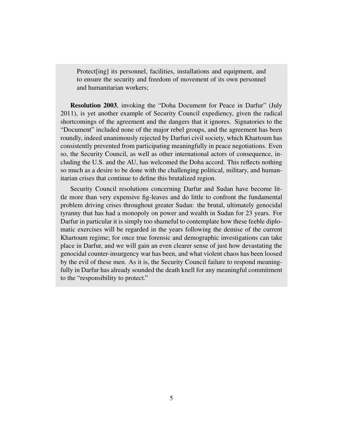Protect<sup>[ing]</sup> its personnel, facilities, installations and equipment, and to ensure the security and freedom of movement of its own personnel and humanitarian workers;

Resolution 2003, invoking the "Doha Document for Peace in Darfur" (July 2011), is yet another example of Security Council expediency, given the radical shortcomings of the agreement and the dangers that it ignores. Signatories to the "Document" included none of the major rebel groups, and the agreement has been roundly, indeed unanimously rejected by Darfuri civil society, which Khartoum has consistently prevented from participating meaningfully in peace negotiations. Even so, the Security Council, as well as other international actors of consequence, including the U.S. and the AU, has welcomed the Doha accord. This reflects nothing so much as a desire to be done with the challenging political, military, and humanitarian crises that continue to define this brutalized region.

Security Council resolutions concerning Darfur and Sudan have become little more than very expensive fig-leaves and do little to confront the fundamental problem driving crises throughout greater Sudan: the brutal, ultimately genocidal tyranny that has had a monopoly on power and wealth in Sudan for 23 years. For Darfur in particular it is simply too shameful to contemplate how these feeble diplomatic exercises will be regarded in the years following the demise of the current Khartoum regime; for once true forensic and demographic investigations can take place in Darfur, and we will gain an even clearer sense of just how devastating the genocidal counter-insurgency war has been, and what violent chaos has been loosed by the evil of these men. As it is, the Security Council failure to respond meaningfully in Darfur has already sounded the death knell for any meaningful commitment to the "responsibility to protect."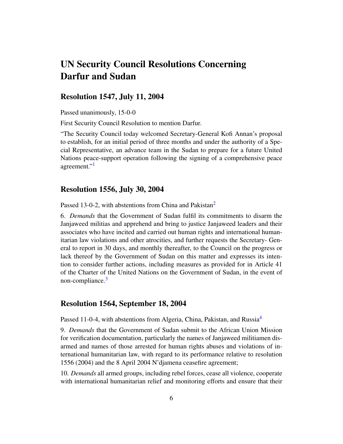## UN Security Council Resolutions Concerning Darfur and Sudan

### Resolution 1547, July 11, 2004

Passed unanimously, 15-0-0

First Security Council Resolution to mention Darfur.

"The Security Council today welcomed Secretary-General Kofi Annan's proposal to establish, for an initial period of three months and under the authority of a Special Representative, an advance team in the Sudan to prepare for a future United Nations peace-support operation following the signing of a comprehensive peace agreement."<sup>[1](#page-24-0)</sup>

#### <span id="page-5-0"></span>Resolution 1556, July 30, 2004

<span id="page-5-1"></span>Passed 13-0-[2](#page-24-1), with abstentions from China and Pakistan<sup>2</sup>

6. *Demands* that the Government of Sudan fulfil its commitments to disarm the Janjaweed militias and apprehend and bring to justice Janjaweed leaders and their associates who have incited and carried out human rights and international humanitarian law violations and other atrocities, and further requests the Secretary- General to report in 30 days, and monthly thereafter, to the Council on the progress or lack thereof by the Government of Sudan on this matter and expresses its intention to consider further actions, including measures as provided for in Article 41 of the Charter of the United Nations on the Government of Sudan, in the event of non-compliance.<sup>[3](#page-24-2)</sup>

#### <span id="page-5-2"></span>Resolution 1564, September 18, 2004

<span id="page-5-3"></span>Passed 11-0-[4](#page-24-3), with abstentions from Algeria, China, Pakistan, and Russia<sup>4</sup>

9. *Demands* that the Government of Sudan submit to the African Union Mission for verification documentation, particularly the names of Janjaweed militiamen disarmed and names of those arrested for human rights abuses and violations of international humanitarian law, with regard to its performance relative to resolution 1556 (2004) and the 8 April 2004 N'djamena ceasefire agreement;

10. *Demands* all armed groups, including rebel forces, cease all violence, cooperate with international humanitarian relief and monitoring efforts and ensure that their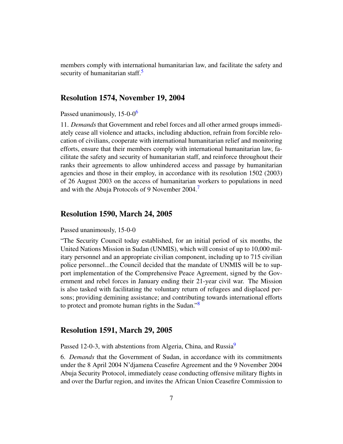<span id="page-6-0"></span>members comply with international humanitarian law, and facilitate the safety and security of humanitarian staff. $\frac{5}{5}$  $\frac{5}{5}$  $\frac{5}{5}$ 

#### Resolution 1574, November 19, 2004

<span id="page-6-1"></span>Passed unanimously, 15-0-0<sup>[6](#page-24-5)</sup>

11. *Demands* that Government and rebel forces and all other armed groups immediately cease all violence and attacks, including abduction, refrain from forcible relocation of civilians, cooperate with international humanitarian relief and monitoring efforts, ensure that their members comply with international humanitarian law, facilitate the safety and security of humanitarian staff, and reinforce throughout their ranks their agreements to allow unhindered access and passage by humanitarian agencies and those in their employ, in accordance with its resolution 1502 (2003) of 26 August 2003 on the access of humanitarian workers to populations in need and with the Abuja Protocols of 9 November 2004.[7](#page-24-6)

#### <span id="page-6-2"></span>Resolution 1590, March 24, 2005

#### Passed unanimously, 15-0-0

"The Security Council today established, for an initial period of six months, the United Nations Mission in Sudan (UNMIS), which will consist of up to 10,000 military personnel and an appropriate civilian component, including up to 715 civilian police personnel...the Council decided that the mandate of UNMIS will be to support implementation of the Comprehensive Peace Agreement, signed by the Government and rebel forces in January ending their 21-year civil war. The Mission is also tasked with facilitating the voluntary return of refugees and displaced persons; providing demining assistance; and contributing towards international efforts to protect and promote human rights in the Sudan."<sup>[8](#page-24-7)</sup>

### <span id="page-6-3"></span>Resolution 1591, March 29, 2005

<span id="page-6-4"></span>Passed 12-0-3, with abstentions from Algeria, China, and Russia<sup>[9](#page-24-8)</sup>

6. *Demands* that the Government of Sudan, in accordance with its commitments under the 8 April 2004 N'djamena Ceasefire Agreement and the 9 November 2004 Abuja Security Protocol, immediately cease conducting offensive military flights in and over the Darfur region, and invites the African Union Ceasefire Commission to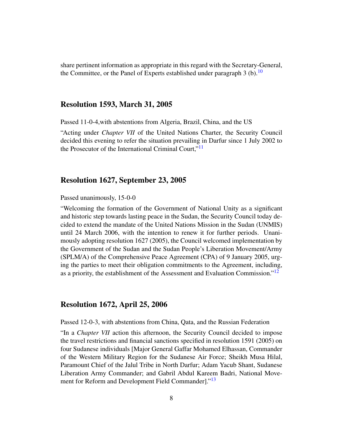<span id="page-7-0"></span>share pertinent information as appropriate in this regard with the Secretary-General, the Committee, or the Panel of Experts established under paragraph 3 (b).<sup>[10](#page-24-9)</sup>

#### Resolution 1593, March 31, 2005

Passed 11-0-4,with abstentions from Algeria, Brazil, China, and the US

<span id="page-7-1"></span>"Acting under *Chapter VII* of the United Nations Charter, the Security Council decided this evening to refer the situation prevailing in Darfur since 1 July 2002 to the Prosecutor of the International Criminal Court,"[11](#page-24-10)

#### Resolution 1627, September 23, 2005

Passed unanimously, 15-0-0

"Welcoming the formation of the Government of National Unity as a significant and historic step towards lasting peace in the Sudan, the Security Council today decided to extend the mandate of the United Nations Mission in the Sudan (UNMIS) until 24 March 2006, with the intention to renew it for further periods. Unanimously adopting resolution 1627 (2005), the Council welcomed implementation by the Government of the Sudan and the Sudan People's Liberation Movement/Army (SPLM/A) of the Comprehensive Peace Agreement (CPA) of 9 January 2005, urging the parties to meet their obligation commitments to the Agreement, including, as a priority, the establishment of the Assessment and Evaluation Commission."<sup>[12](#page-24-11)</sup>

#### <span id="page-7-2"></span>Resolution 1672, April 25, 2006

Passed 12-0-3, with abstentions from China, Qata, and the Russian Federation

<span id="page-7-3"></span>"In a *Chapter VII* action this afternoon, the Security Council decided to impose the travel restrictions and financial sanctions specified in resolution 1591 (2005) on four Sudanese individuals [Major General Gaffar Mohamed Elhassan, Commander of the Western Military Region for the Sudanese Air Force; Sheikh Musa Hilal, Paramount Chief of the Jalul Tribe in North Darfur; Adam Yacub Shant, Sudanese Liberation Army Commander; and Gabril Abdul Kareem Badri, National Move-ment for Reform and Development Field Commander]."<sup>[13](#page-24-12)</sup>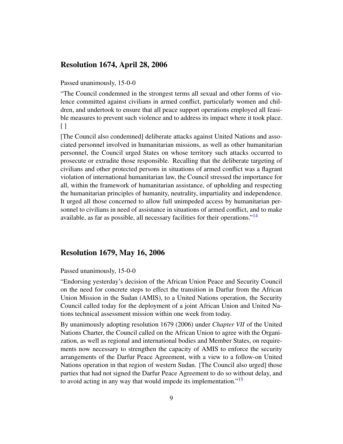#### Resolution 1674, April 28, 2006

#### Passed unanimously, 15-0-0

"The Council condemned in the strongest terms all sexual and other forms of violence committed against civilians in armed conflict, particularly women and children, and undertook to ensure that all peace support operations employed all feasible measures to prevent such violence and to address its impact where it took place. [ ]

[The Council also condemned] deliberate attacks against United Nations and associated personnel involved in humanitarian missions, as well as other humanitarian personnel, the Council urged States on whose territory such attacks occurred to prosecute or extradite those responsible. Recalling that the deliberate targeting of civilians and other protected persons in situations of armed conflict was a flagrant violation of international humanitarian law, the Council stressed the importance for all, within the framework of humanitarian assistance, of upholding and respecting the humanitarian principles of humanity, neutrality, impartiality and independence. It urged all those concerned to allow full unimpeded access by humanitarian personnel to civilians in need of assistance in situations of armed conflict, and to make available, as far as possible, all necessary facilities for their operations."<sup>[14](#page-24-13)</sup>

## <span id="page-8-0"></span>Resolution 1679, May 16, 2006

#### Passed unanimously, 15-0-0

"Endorsing yesterday's decision of the African Union Peace and Security Council on the need for concrete steps to effect the transition in Darfur from the African Union Mission in the Sudan (AMIS), to a United Nations operation, the Security Council called today for the deployment of a joint African Union and United Nations technical assessment mission within one week from today.

<span id="page-8-1"></span>By unanimously adopting resolution 1679 (2006) under *Chapter VII* of the United Nations Charter, the Council called on the African Union to agree with the Organization, as well as regional and international bodies and Member States, on requirements now necessary to strengthen the capacity of AMIS to enforce the security arrangements of the Darfur Peace Agreement, with a view to a follow-on United Nations operation in that region of western Sudan. [The Council also urged] those parties that had not signed the Darfur Peace Agreement to do so without delay, and to avoid acting in any way that would impede its implementation."<sup>[15](#page-24-14)</sup>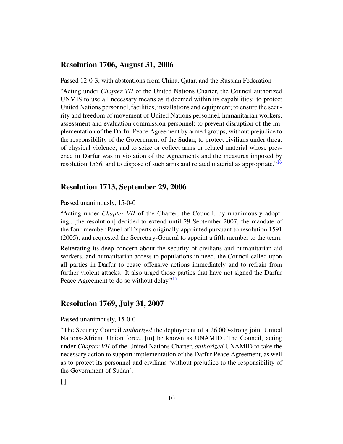#### Resolution 1706, August 31, 2006

Passed 12-0-3, with abstentions from China, Qatar, and the Russian Federation

"Acting under *Chapter VII* of the United Nations Charter, the Council authorized UNMIS to use all necessary means as it deemed within its capabilities: to protect United Nations personnel, facilities, installations and equipment; to ensure the security and freedom of movement of United Nations personnel, humanitarian workers, assessment and evaluation commission personnel; to prevent disruption of the implementation of the Darfur Peace Agreement by armed groups, without prejudice to the responsibility of the Government of the Sudan; to protect civilians under threat of physical violence; and to seize or collect arms or related material whose presence in Darfur was in violation of the Agreements and the measures imposed by resolution 1556, and to dispose of such arms and related material as appropriate."[16](#page-24-15)

#### <span id="page-9-0"></span>Resolution 1713, September 29, 2006

Passed unanimously, 15-0-0

"Acting under *Chapter VII* of the Charter, the Council, by unanimously adopting...[the resolution] decided to extend until 29 September 2007, the mandate of the four-member Panel of Experts originally appointed pursuant to resolution 1591 (2005), and requested the Secretary-General to appoint a fifth member to the team.

Reiterating its deep concern about the security of civilians and humanitarian aid workers, and humanitarian access to populations in need, the Council called upon all parties in Darfur to cease offensive actions immediately and to refrain from further violent attacks. It also urged those parties that have not signed the Darfur Peace Agreement to do so without delay."<sup>[17](#page-24-16)</sup>

#### <span id="page-9-1"></span>Resolution 1769, July 31, 2007

Passed unanimously, 15-0-0

"The Security Council *authorized* the deployment of a 26,000-strong joint United Nations-African Union force...[to] be known as UNAMID...The Council, acting under *Chapter VII* of the United Nations Charter, *authorized* UNAMID to take the necessary action to support implementation of the Darfur Peace Agreement, as well as to protect its personnel and civilians 'without prejudice to the responsibility of the Government of Sudan'.

 $\lceil$   $\rceil$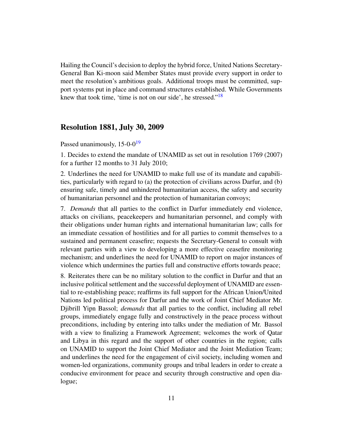<span id="page-10-0"></span>Hailing the Council's decision to deploy the hybrid force, United Nations Secretary-General Ban Ki-moon said Member States must provide every support in order to meet the resolution's ambitious goals. Additional troops must be committed, support systems put in place and command structures established. While Governments knew that took time, 'time is not on our side', he stressed." $18$ 

#### Resolution 1881, July 30, 2009

<span id="page-10-1"></span>Passed unanimously,  $15{\text -}0{\cdot}0^{19}$  $15{\text -}0{\cdot}0^{19}$  $15{\text -}0{\cdot}0^{19}$ 

1. Decides to extend the mandate of UNAMID as set out in resolution 1769 (2007) for a further 12 months to 31 July 2010;

2. Underlines the need for UNAMID to make full use of its mandate and capabilities, particularly with regard to (a) the protection of civilians across Darfur, and (b) ensuring safe, timely and unhindered humanitarian access, the safety and security of humanitarian personnel and the protection of humanitarian convoys;

7. *Demands* that all parties to the conflict in Darfur immediately end violence, attacks on civilians, peacekeepers and humanitarian personnel, and comply with their obligations under human rights and international humanitarian law; calls for an immediate cessation of hostilities and for all parties to commit themselves to a sustained and permanent ceasefire; requests the Secretary-General to consult with relevant parties with a view to developing a more effective ceasefire monitoring mechanism; and underlines the need for UNAMID to report on major instances of violence which undermines the parties full and constructive efforts towards peace;

8. Reiterates there can be no military solution to the conflict in Darfur and that an inclusive political settlement and the successful deployment of UNAMID are essential to re-establishing peace; reaffirms its full support for the African Union/United Nations led political process for Darfur and the work of Joint Chief Mediator Mr. Djibrill Yipn Bassol; *demands* that all parties to the conflict, including all rebel groups, immediately engage fully and constructively in the peace process without preconditions, including by entering into talks under the mediation of Mr. Bassol with a view to finalizing a Framework Agreement; welcomes the work of Qatar and Libya in this regard and the support of other countries in the region; calls on UNAMID to support the Joint Chief Mediator and the Joint Mediation Team; and underlines the need for the engagement of civil society, including women and women-led organizations, community groups and tribal leaders in order to create a conducive environment for peace and security through constructive and open dialogue;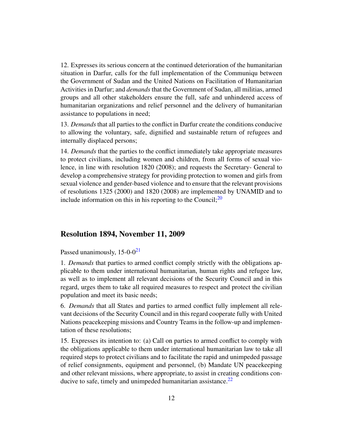12. Expresses its serious concern at the continued deterioration of the humanitarian situation in Darfur, calls for the full implementation of the Communiqu between the Government of Sudan and the United Nations on Facilitation of Humanitarian Activities in Darfur; and *demands* that the Government of Sudan, all militias, armed groups and all other stakeholders ensure the full, safe and unhindered access of humanitarian organizations and relief personnel and the delivery of humanitarian assistance to populations in need;

13. *Demands* that all parties to the conflict in Darfur create the conditions conducive to allowing the voluntary, safe, dignified and sustainable return of refugees and internally displaced persons;

14. *Demands* that the parties to the conflict immediately take appropriate measures to protect civilians, including women and children, from all forms of sexual violence, in line with resolution 1820 (2008); and requests the Secretary- General to develop a comprehensive strategy for providing protection to women and girls from sexual violence and gender-based violence and to ensure that the relevant provisions of resolutions 1325 (2000) and 1820 (2008) are implemented by UNAMID and to include information on this in his reporting to the Council; $^{20}$  $^{20}$  $^{20}$ 

#### <span id="page-11-0"></span>Resolution 1894, November 11, 2009

<span id="page-11-1"></span>Passed unanimously,  $15{\text -}0{\text -}0^{21}$  $15{\text -}0{\text -}0^{21}$  $15{\text -}0{\text -}0^{21}$ 

1. *Demands* that parties to armed conflict comply strictly with the obligations applicable to them under international humanitarian, human rights and refugee law, as well as to implement all relevant decisions of the Security Council and in this regard, urges them to take all required measures to respect and protect the civilian population and meet its basic needs;

6. *Demands* that all States and parties to armed conflict fully implement all relevant decisions of the Security Council and in this regard cooperate fully with United Nations peacekeeping missions and Country Teams in the follow-up and implementation of these resolutions;

<span id="page-11-2"></span>15. Expresses its intention to: (a) Call on parties to armed conflict to comply with the obligations applicable to them under international humanitarian law to take all required steps to protect civilians and to facilitate the rapid and unimpeded passage of relief consignments, equipment and personnel, (b) Mandate UN peacekeeping and other relevant missions, where appropriate, to assist in creating conditions conducive to safe, timely and unimpeded humanitarian assistance. $^{22}$  $^{22}$  $^{22}$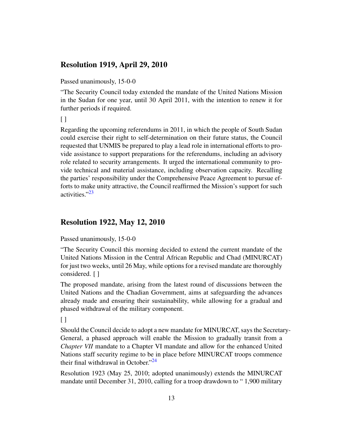## Resolution 1919, April 29, 2010

Passed unanimously, 15-0-0

"The Security Council today extended the mandate of the United Nations Mission in the Sudan for one year, until 30 April 2011, with the intention to renew it for further periods if required.

 $\lceil$ 

Regarding the upcoming referendums in 2011, in which the people of South Sudan could exercise their right to self-determination on their future status, the Council requested that UNMIS be prepared to play a lead role in international efforts to provide assistance to support preparations for the referendums, including an advisory role related to security arrangements. It urged the international community to provide technical and material assistance, including observation capacity. Recalling the parties' responsibility under the Comprehensive Peace Agreement to pursue efforts to make unity attractive, the Council reaffirmed the Mission's support for such activities."<sup>[23](#page-24-22)</sup>

## <span id="page-12-0"></span>Resolution 1922, May 12, 2010

Passed unanimously, 15-0-0

"The Security Council this morning decided to extend the current mandate of the United Nations Mission in the Central African Republic and Chad (MINURCAT) for just two weeks, until 26 May, while options for a revised mandate are thoroughly considered. [ ]

The proposed mandate, arising from the latest round of discussions between the United Nations and the Chadian Government, aims at safeguarding the advances already made and ensuring their sustainability, while allowing for a gradual and phased withdrawal of the military component.

 $\lceil$ 

Should the Council decide to adopt a new mandate for MINURCAT, says the Secretary-General, a phased approach will enable the Mission to gradually transit from a *Chapter VII* mandate to a Chapter VI mandate and allow for the enhanced United Nations staff security regime to be in place before MINURCAT troops commence their final withdrawal in October."<sup>[24](#page-24-23)</sup>

<span id="page-12-1"></span>Resolution 1923 (May 25, 2010; adopted unanimously) extends the MINURCAT mandate until December 31, 2010, calling for a troop drawdown to " 1,900 military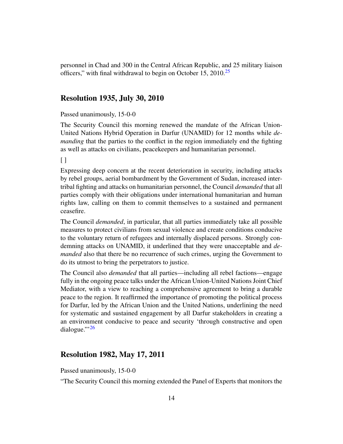<span id="page-13-0"></span>personnel in Chad and 300 in the Central African Republic, and 25 military liaison officers," with final withdrawal to begin on October 15,  $2010^{25}$  $2010^{25}$  $2010^{25}$ 

#### Resolution 1935, July 30, 2010

#### Passed unanimously, 15-0-0

The Security Council this morning renewed the mandate of the African Union-United Nations Hybrid Operation in Darfur (UNAMID) for 12 months while *demanding* that the parties to the conflict in the region immediately end the fighting as well as attacks on civilians, peacekeepers and humanitarian personnel.

 $\lceil$ 

Expressing deep concern at the recent deterioration in security, including attacks by rebel groups, aerial bombardment by the Government of Sudan, increased intertribal fighting and attacks on humanitarian personnel, the Council *demanded* that all parties comply with their obligations under international humanitarian and human rights law, calling on them to commit themselves to a sustained and permanent ceasefire.

The Council *demanded*, in particular, that all parties immediately take all possible measures to protect civilians from sexual violence and create conditions conducive to the voluntary return of refugees and internally displaced persons. Strongly condemning attacks on UNAMID, it underlined that they were unacceptable and *demanded* also that there be no recurrence of such crimes, urging the Government to do its utmost to bring the perpetrators to justice.

The Council also *demanded* that all parties—including all rebel factions—engage fully in the ongoing peace talks under the African Union-United Nations Joint Chief Mediator, with a view to reaching a comprehensive agreement to bring a durable peace to the region. It reaffirmed the importance of promoting the political process for Darfur, led by the African Union and the United Nations, underlining the need for systematic and sustained engagement by all Darfur stakeholders in creating a an environment conducive to peace and security 'through constructive and open dialogue." $^{26}$  $^{26}$  $^{26}$ 

## <span id="page-13-1"></span>Resolution 1982, May 17, 2011

Passed unanimously, 15-0-0

"The Security Council this morning extended the Panel of Experts that monitors the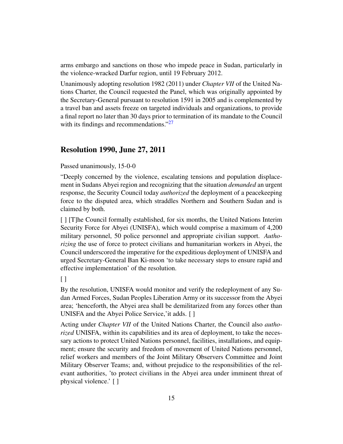arms embargo and sanctions on those who impede peace in Sudan, particularly in the violence-wracked Darfur region, until 19 February 2012.

Unanimously adopting resolution 1982 (2011) under *Chapter VII* of the United Nations Charter, the Council requested the Panel, which was originally appointed by the Secretary-General pursuant to resolution 1591 in 2005 and is complemented by a travel ban and assets freeze on targeted individuals and organizations, to provide a final report no later than 30 days prior to termination of its mandate to the Council with its findings and recommendations."<sup>[27](#page-24-26)</sup>

#### <span id="page-14-0"></span>Resolution 1990, June 27, 2011

Passed unanimously, 15-0-0

"Deeply concerned by the violence, escalating tensions and population displacement in Sudans Abyei region and recognizing that the situation *demanded* an urgent response, the Security Council today *authorized* the deployment of a peacekeeping force to the disputed area, which straddles Northern and Southern Sudan and is claimed by both.

[ ] [T]he Council formally established, for six months, the United Nations Interim Security Force for Abyei (UNISFA), which would comprise a maximum of 4,200 military personnel, 50 police personnel and appropriate civilian support. *Authorizing* the use of force to protect civilians and humanitarian workers in Abyei, the Council underscored the imperative for the expeditious deployment of UNISFA and urged Secretary-General Ban Ki-moon 'to take necessary steps to ensure rapid and effective implementation' of the resolution.

 $\Box$ 

By the resolution, UNISFA would monitor and verify the redeployment of any Sudan Armed Forces, Sudan Peoples Liberation Army or its successor from the Abyei area; 'henceforth, the Abyei area shall be demilitarized from any forces other than UNISFA and the Abyei Police Service,'it adds. [ ]

Acting under *Chapter VII* of the United Nations Charter, the Council also *authorized* UNISFA, within its capabilities and its area of deployment, to take the necessary actions to protect United Nations personnel, facilities, installations, and equipment; ensure the security and freedom of movement of United Nations personnel, relief workers and members of the Joint Military Observers Committee and Joint Military Observer Teams; and, without prejudice to the responsibilities of the relevant authorities, 'to protect civilians in the Abyei area under imminent threat of physical violence.' [ ]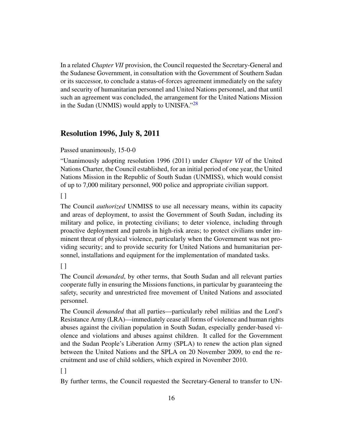In a related *Chapter VII* provision, the Council requested the Secretary-General and the Sudanese Government, in consultation with the Government of Southern Sudan or its successor, to conclude a status-of-forces agreement immediately on the safety and security of humanitarian personnel and United Nations personnel, and that until such an agreement was concluded, the arrangement for the United Nations Mission in the Sudan (UNMIS) would apply to UNISFA."<sup>[28](#page-24-27)</sup>

## <span id="page-15-0"></span>Resolution 1996, July 8, 2011

Passed unanimously, 15-0-0

"Unanimously adopting resolution 1996 (2011) under *Chapter VII* of the United Nations Charter, the Council established, for an initial period of one year, the United Nations Mission in the Republic of South Sudan (UNMISS), which would consist of up to 7,000 military personnel, 900 police and appropriate civilian support.

 $\lceil$ 

The Council *authorized* UNMISS to use all necessary means, within its capacity and areas of deployment, to assist the Government of South Sudan, including its military and police, in protecting civilians; to deter violence, including through proactive deployment and patrols in high-risk areas; to protect civilians under imminent threat of physical violence, particularly when the Government was not providing security; and to provide security for United Nations and humanitarian personnel, installations and equipment for the implementation of mandated tasks.

 $[$ ]

The Council *demanded*, by other terms, that South Sudan and all relevant parties cooperate fully in ensuring the Missions functions, in particular by guaranteeing the safety, security and unrestricted free movement of United Nations and associated personnel.

The Council *demanded* that all parties—particularly rebel militias and the Lord's Resistance Army (LRA)—immediately cease all forms of violence and human rights abuses against the civilian population in South Sudan, especially gender-based violence and violations and abuses against children. It called for the Government and the Sudan People's Liberation Army (SPLA) to renew the action plan signed between the United Nations and the SPLA on 20 November 2009, to end the recruitment and use of child soldiers, which expired in November 2010.

 $\lceil$   $\rceil$ 

By further terms, the Council requested the Secretary-General to transfer to UN-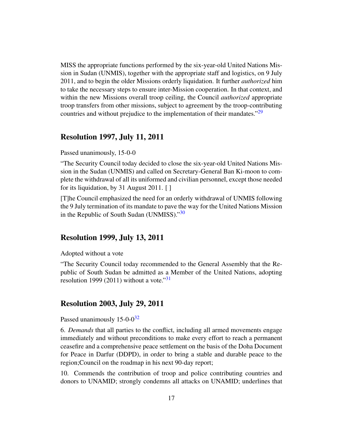MISS the appropriate functions performed by the six-year-old United Nations Mission in Sudan (UNMIS), together with the appropriate staff and logistics, on 9 July 2011, and to begin the older Missions orderly liquidation. It further *authorized* him to take the necessary steps to ensure inter-Mission cooperation. In that context, and within the new Missions overall troop ceiling, the Council *authorized* appropriate troop transfers from other missions, subject to agreement by the troop-contributing countries and without prejudice to the implementation of their mandates."<sup>[29](#page-25-0)</sup>

#### <span id="page-16-0"></span>Resolution 1997, July 11, 2011

#### Passed unanimously, 15-0-0

"The Security Council today decided to close the six-year-old United Nations Mission in the Sudan (UNMIS) and called on Secretary-General Ban Ki-moon to complete the withdrawal of all its uniformed and civilian personnel, except those needed for its liquidation, by 31 August 2011. [ ]

<span id="page-16-1"></span>[T]he Council emphasized the need for an orderly withdrawal of UNMIS following the 9 July termination of its mandate to pave the way for the United Nations Mission in the Republic of South Sudan (UNMISS)."<sup>[30](#page-25-1)</sup>

## Resolution 1999, July 13, 2011

Adopted without a vote

<span id="page-16-2"></span>"The Security Council today recommended to the General Assembly that the Republic of South Sudan be admitted as a Member of the United Nations, adopting resolution 1999 (2011) without a vote."<sup>[31](#page-25-2)</sup>

#### Resolution 2003, July 29, 2011

<span id="page-16-3"></span>Passed unanimously  $15{\text -}0{\cdot}0^{32}$  $15{\text -}0{\cdot}0^{32}$  $15{\text -}0{\cdot}0^{32}$ 

6. *Demands* that all parties to the conflict, including all armed movements engage immediately and without preconditions to make every effort to reach a permanent ceasefire and a comprehensive peace settlement on the basis of the Doha Document for Peace in Darfur (DDPD), in order to bring a stable and durable peace to the region;Council on the roadmap in his next 90-day report;

10. Commends the contribution of troop and police contributing countries and donors to UNAMID; strongly condemns all attacks on UNAMID; underlines that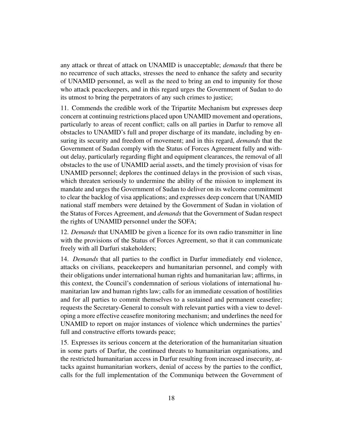any attack or threat of attack on UNAMID is unacceptable; *demands* that there be no recurrence of such attacks, stresses the need to enhance the safety and security of UNAMID personnel, as well as the need to bring an end to impunity for those who attack peacekeepers, and in this regard urges the Government of Sudan to do its utmost to bring the perpetrators of any such crimes to justice;

11. Commends the credible work of the Tripartite Mechanism but expresses deep concern at continuing restrictions placed upon UNAMID movement and operations, particularly to areas of recent conflict; calls on all parties in Darfur to remove all obstacles to UNAMID's full and proper discharge of its mandate, including by ensuring its security and freedom of movement; and in this regard, *demands* that the Government of Sudan comply with the Status of Forces Agreement fully and without delay, particularly regarding flight and equipment clearances, the removal of all obstacles to the use of UNAMID aerial assets, and the timely provision of visas for UNAMID personnel; deplores the continued delays in the provision of such visas, which threaten seriously to undermine the ability of the mission to implement its mandate and urges the Government of Sudan to deliver on its welcome commitment to clear the backlog of visa applications; and expresses deep concern that UNAMID national staff members were detained by the Government of Sudan in violation of the Status of Forces Agreement, and *demands* that the Government of Sudan respect the rights of UNAMID personnel under the SOFA;

12. *Demands* that UNAMID be given a licence for its own radio transmitter in line with the provisions of the Status of Forces Agreement, so that it can communicate freely with all Darfuri stakeholders;

14. *Demands* that all parties to the conflict in Darfur immediately end violence, attacks on civilians, peacekeepers and humanitarian personnel, and comply with their obligations under international human rights and humanitarian law; affirms, in this context, the Council's condemnation of serious violations of international humanitarian law and human rights law; calls for an immediate cessation of hostilities and for all parties to commit themselves to a sustained and permanent ceasefire; requests the Secretary-General to consult with relevant parties with a view to developing a more effective ceasefire monitoring mechanism; and underlines the need for UNAMID to report on major instances of violence which undermines the parties' full and constructive efforts towards peace;

15. Expresses its serious concern at the deterioration of the humanitarian situation in some parts of Darfur, the continued threats to humanitarian organisations, and the restricted humanitarian access in Darfur resulting from increased insecurity, attacks against humanitarian workers, denial of access by the parties to the conflict, calls for the full implementation of the Communiqu between the Government of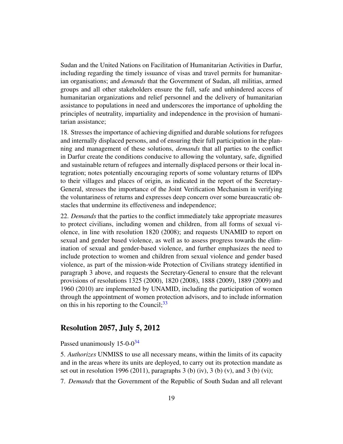Sudan and the United Nations on Facilitation of Humanitarian Activities in Darfur, including regarding the timely issuance of visas and travel permits for humanitarian organisations; and *demands* that the Government of Sudan, all militias, armed groups and all other stakeholders ensure the full, safe and unhindered access of humanitarian organizations and relief personnel and the delivery of humanitarian assistance to populations in need and underscores the importance of upholding the principles of neutrality, impartiality and independence in the provision of humanitarian assistance;

18. Stresses the importance of achieving dignified and durable solutions for refugees and internally displaced persons, and of ensuring their full participation in the planning and management of these solutions, *demands* that all parties to the conflict in Darfur create the conditions conducive to allowing the voluntary, safe, dignified and sustainable return of refugees and internally displaced persons or their local integration; notes potentially encouraging reports of some voluntary returns of IDPs to their villages and places of origin, as indicated in the report of the Secretary-General, stresses the importance of the Joint Verification Mechanism in verifying the voluntariness of returns and expresses deep concern over some bureaucratic obstacles that undermine its effectiveness and independence;

22. *Demands* that the parties to the conflict immediately take appropriate measures to protect civilians, including women and children, from all forms of sexual violence, in line with resolution 1820 (2008); and requests UNAMID to report on sexual and gender based violence, as well as to assess progress towards the elimination of sexual and gender-based violence, and further emphasizes the need to include protection to women and children from sexual violence and gender based violence, as part of the mission-wide Protection of Civilians strategy identified in paragraph 3 above, and requests the Secretary-General to ensure that the relevant provisions of resolutions 1325 (2000), 1820 (2008), 1888 (2009), 1889 (2009) and 1960 (2010) are implemented by UNAMID, including the participation of women through the appointment of women protection advisors, and to include information on this in his reporting to the Council;  $33$ 

### <span id="page-18-0"></span>Resolution 2057, July 5, 2012

#### <span id="page-18-1"></span>Passed unanimously 15-0-0<sup>[34](#page-25-5)</sup>

5. *Authorizes* UNMISS to use all necessary means, within the limits of its capacity and in the areas where its units are deployed, to carry out its protection mandate as set out in resolution 1996 (2011), paragraphs 3 (b) (iv), 3 (b) (v), and 3 (b) (vi);

7. *Demands* that the Government of the Republic of South Sudan and all relevant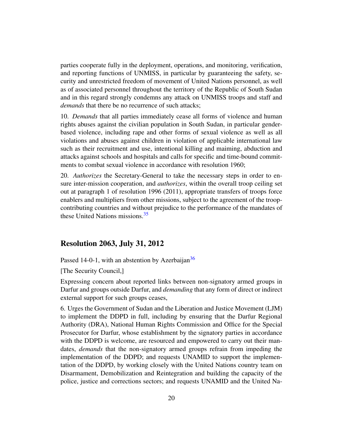parties cooperate fully in the deployment, operations, and monitoring, verification, and reporting functions of UNMISS, in particular by guaranteeing the safety, security and unrestricted freedom of movement of United Nations personnel, as well as of associated personnel throughout the territory of the Republic of South Sudan and in this regard strongly condemns any attack on UNMISS troops and staff and *demands* that there be no recurrence of such attacks;

10. *Demands* that all parties immediately cease all forms of violence and human rights abuses against the civilian population in South Sudan, in particular genderbased violence, including rape and other forms of sexual violence as well as all violations and abuses against children in violation of applicable international law such as their recruitment and use, intentional killing and maiming, abduction and attacks against schools and hospitals and calls for specific and time-bound commitments to combat sexual violence in accordance with resolution 1960;

20. *Authorizes* the Secretary-General to take the necessary steps in order to ensure inter-mission cooperation, and *authorizes*, within the overall troop ceiling set out at paragraph 1 of resolution 1996 (2011), appropriate transfers of troops force enablers and multipliers from other missions, subject to the agreement of the troopcontributing countries and without prejudice to the performance of the mandates of these United Nations missions.<sup>[35](#page-25-6)</sup>

### <span id="page-19-0"></span>Resolution 2063, July 31, 2012

<span id="page-19-1"></span>Passed 14-0-1, with an abstention by Azerbaijan<sup>[36](#page-25-7)</sup>

[The Security Council,]

Expressing concern about reported links between non-signatory armed groups in Darfur and groups outside Darfur, and *demanding* that any form of direct or indirect external support for such groups ceases,

6. Urges the Government of Sudan and the Liberation and Justice Movement (LJM) to implement the DDPD in full, including by ensuring that the Darfur Regional Authority (DRA), National Human Rights Commission and Office for the Special Prosecutor for Darfur, whose establishment by the signatory parties in accordance with the DDPD is welcome, are resourced and empowered to carry out their mandates, *demands* that the non-signatory armed groups refrain from impeding the implementation of the DDPD; and requests UNAMID to support the implementation of the DDPD, by working closely with the United Nations country team on Disarmament, Demobilization and Reintegration and building the capacity of the police, justice and corrections sectors; and requests UNAMID and the United Na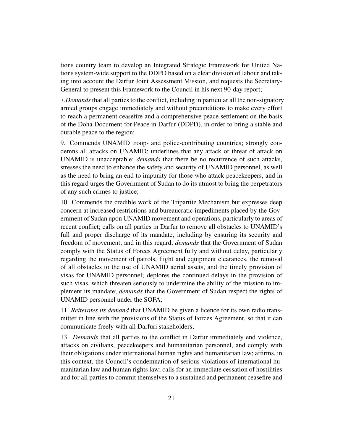tions country team to develop an Integrated Strategic Framework for United Nations system-wide support to the DDPD based on a clear division of labour and taking into account the Darfur Joint Assessment Mission, and requests the Secretary-General to present this Framework to the Council in his next 90-day report;

7.*Demands*that all parties to the conflict, including in particular all the non-signatory armed groups engage immediately and without preconditions to make every effort to reach a permanent ceasefire and a comprehensive peace settlement on the basis of the Doha Document for Peace in Darfur (DDPD), in order to bring a stable and durable peace to the region;

9. Commends UNAMID troop- and police-contributing countries; strongly condemns all attacks on UNAMID; underlines that any attack or threat of attack on UNAMID is unacceptable; *demands* that there be no recurrence of such attacks, stresses the need to enhance the safety and security of UNAMID personnel, as well as the need to bring an end to impunity for those who attack peacekeepers, and in this regard urges the Government of Sudan to do its utmost to bring the perpetrators of any such crimes to justice;

10. Commends the credible work of the Tripartite Mechanism but expresses deep concern at increased restrictions and bureaucratic impediments placed by the Government of Sudan upon UNAMID movement and operations, particularly to areas of recent conflict; calls on all parties in Darfur to remove all obstacles to UNAMID's full and proper discharge of its mandate, including by ensuring its security and freedom of movement; and in this regard, *demands* that the Government of Sudan comply with the Status of Forces Agreement fully and without delay, particularly regarding the movement of patrols, flight and equipment clearances, the removal of all obstacles to the use of UNAMID aerial assets, and the timely provision of visas for UNAMID personnel; deplores the continued delays in the provision of such visas, which threaten seriously to undermine the ability of the mission to implement its mandate; *demands* that the Government of Sudan respect the rights of UNAMID personnel under the SOFA;

11. *Reiterates its demand* that UNAMID be given a licence for its own radio transmitter in line with the provisions of the Status of Forces Agreement, so that it can communicate freely with all Darfuri stakeholders;

13. *Demands* that all parties to the conflict in Darfur immediately end violence, attacks on civilians, peacekeepers and humanitarian personnel, and comply with their obligations under international human rights and humanitarian law; affirms, in this context, the Council's condemnation of serious violations of international humanitarian law and human rights law; calls for an immediate cessation of hostilities and for all parties to commit themselves to a sustained and permanent ceasefire and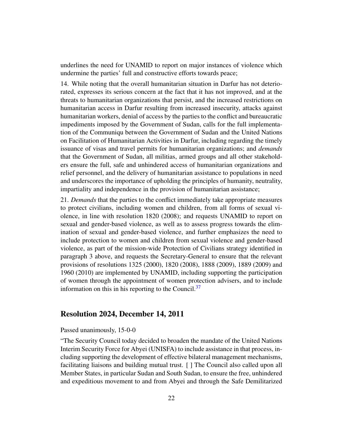underlines the need for UNAMID to report on major instances of violence which undermine the parties' full and constructive efforts towards peace;

14. While noting that the overall humanitarian situation in Darfur has not deteriorated, expresses its serious concern at the fact that it has not improved, and at the threats to humanitarian organizations that persist, and the increased restrictions on humanitarian access in Darfur resulting from increased insecurity, attacks against humanitarian workers, denial of access by the parties to the conflict and bureaucratic impediments imposed by the Government of Sudan, calls for the full implementation of the Communiqu between the Government of Sudan and the United Nations on Facilitation of Humanitarian Activities in Darfur, including regarding the timely issuance of visas and travel permits for humanitarian organizations; and *demands* that the Government of Sudan, all militias, armed groups and all other stakeholders ensure the full, safe and unhindered access of humanitarian organizations and relief personnel, and the delivery of humanitarian assistance to populations in need and underscores the importance of upholding the principles of humanity, neutrality, impartiality and independence in the provision of humanitarian assistance;

21. *Demands* that the parties to the conflict immediately take appropriate measures to protect civilians, including women and children, from all forms of sexual violence, in line with resolution 1820 (2008); and requests UNAMID to report on sexual and gender-based violence, as well as to assess progress towards the elimination of sexual and gender-based violence, and further emphasizes the need to include protection to women and children from sexual violence and gender-based violence, as part of the mission-wide Protection of Civilians strategy identified in paragraph 3 above, and requests the Secretary-General to ensure that the relevant provisions of resolutions 1325 (2000), 1820 (2008), 1888 (2009), 1889 (2009) and 1960 (2010) are implemented by UNAMID, including supporting the participation of women through the appointment of women protection advisers, and to include information on this in his reporting to the Council.<sup>[37](#page-25-8)</sup>

### <span id="page-21-0"></span>Resolution 2024, December 14, 2011

#### Passed unanimously, 15-0-0

"The Security Council today decided to broaden the mandate of the United Nations Interim Security Force for Abyei (UNISFA) to include assistance in that process, including supporting the development of effective bilateral management mechanisms, facilitating liaisons and building mutual trust. [ ] The Council also called upon all Member States, in particular Sudan and South Sudan, to ensure the free, unhindered and expeditious movement to and from Abyei and through the Safe Demilitarized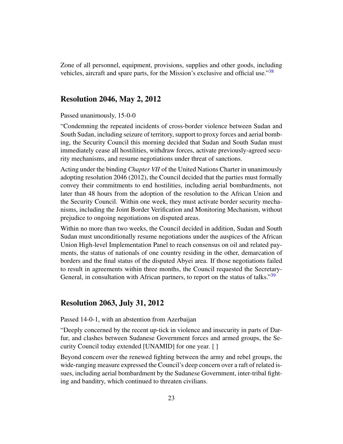<span id="page-22-0"></span>Zone of all personnel, equipment, provisions, supplies and other goods, including vehicles, aircraft and spare parts, for the Mission's exclusive and official use."[38](#page-25-9)

#### Resolution 2046, May 2, 2012

#### Passed unanimously, 15-0-0

"Condemning the repeated incidents of cross-border violence between Sudan and South Sudan, including seizure of territory, support to proxy forces and aerial bombing, the Security Council this morning decided that Sudan and South Sudan must immediately cease all hostilities, withdraw forces, activate previously-agreed security mechanisms, and resume negotiations under threat of sanctions.

Acting under the binding *Chapter VII* of the United Nations Charter in unanimously adopting resolution 2046 (2012), the Council decided that the parties must formally convey their commitments to end hostilities, including aerial bombardments, not later than 48 hours from the adoption of the resolution to the African Union and the Security Council. Within one week, they must activate border security mechanisms, including the Joint Border Verification and Monitoring Mechanism, without prejudice to ongoing negotiations on disputed areas.

Within no more than two weeks, the Council decided in addition, Sudan and South Sudan must unconditionally resume negotiations under the auspices of the African Union High-level Implementation Panel to reach consensus on oil and related payments, the status of nationals of one country residing in the other, demarcation of borders and the final status of the disputed Abyei area. If those negotiations failed to result in agreements within three months, the Council requested the Secretary-General, in consultation with African partners, to report on the status of talks."<sup>[39](#page-25-10)</sup>

#### <span id="page-22-1"></span>Resolution 2063, July 31, 2012

#### Passed 14-0-1, with an abstention from Azerbaijan

"Deeply concerned by the recent up-tick in violence and insecurity in parts of Darfur, and clashes between Sudanese Government forces and armed groups, the Security Council today extended [UNAMID] for one year. [ ]

Beyond concern over the renewed fighting between the army and rebel groups, the wide-ranging measure expressed the Council's deep concern over a raft of related issues, including aerial bombardment by the Sudanese Government, inter-tribal fighting and banditry, which continued to threaten civilians.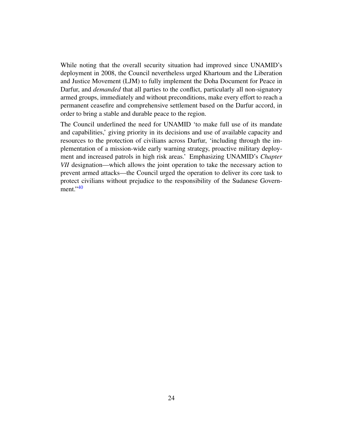While noting that the overall security situation had improved since UNAMID's deployment in 2008, the Council nevertheless urged Khartoum and the Liberation and Justice Movement (LJM) to fully implement the Doha Document for Peace in Darfur, and *demanded* that all parties to the conflict, particularly all non-signatory armed groups, immediately and without preconditions, make every effort to reach a permanent ceasefire and comprehensive settlement based on the Darfur accord, in order to bring a stable and durable peace to the region.

<span id="page-23-0"></span>The Council underlined the need for UNAMID 'to make full use of its mandate and capabilities,' giving priority in its decisions and use of available capacity and resources to the protection of civilians across Darfur, 'including through the implementation of a mission-wide early warning strategy, proactive military deployment and increased patrols in high risk areas.' Emphasizing UNAMID's *Chapter VII* designation—which allows the joint operation to take the necessary action to prevent armed attacks—the Council urged the operation to deliver its core task to protect civilians without prejudice to the responsibility of the Sudanese Government." $40$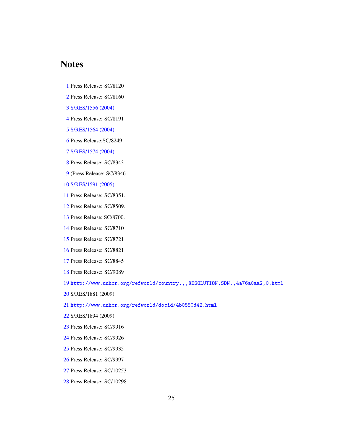## **Notes**

- <span id="page-24-0"></span>Press Release: SC/8120
- <span id="page-24-1"></span>Press Release: SC/8160
- <span id="page-24-2"></span>[S/RES/1556 \(2004\)](http://daccess-dds-ny.un.org/doc/UNDOC/GEN/N04/446/02/PDF/N0444602.pdf?OpenElement)
- <span id="page-24-3"></span>Press Release: SC/8191
- <span id="page-24-4"></span>[S/RES/1564 \(2004\)](http://daccess-dds-ny.un.org/doc/UNDOC/GEN/N04/515/47/PDF/N0451547.pdf?OpenElement)
- <span id="page-24-5"></span>Press Release:SC/8249
- <span id="page-24-6"></span>[S/RES/1574 \(2004\)](http://daccess-dds-ny.un.org/doc/UNDOC/GEN/N04/616/89/PDF/N0461689.pdf?OpenElement)
- <span id="page-24-7"></span>Press Release: SC/8343.
- <span id="page-24-8"></span>(Press Release: SC/8346
- <span id="page-24-9"></span>[S/RES/1591 \(2005\)](http://daccess-dds-ny.un.org/doc/UNDOC/GEN/N05/287/89/PDF/N0528789.pdf?OpenElement)
- <span id="page-24-10"></span>Press Release: SC/8351.
- <span id="page-24-11"></span>Press Release: SC/8509.
- <span id="page-24-12"></span>Press Release; SC/8700.
- <span id="page-24-13"></span>Press Release: SC/8710
- <span id="page-24-14"></span>Press Release: SC/8721
- <span id="page-24-15"></span>Press Release: SC/8821
- <span id="page-24-16"></span>Press Release: SC/8845
- <span id="page-24-17"></span>Press Release: SC/9089

<span id="page-24-18"></span><http://www.unhcr.org/refworld/country,,,RESOLUTION,SDN,,4a76a0aa2,0.html>

<span id="page-24-19"></span>S/RES/1881 (2009)

<span id="page-24-20"></span><http://www.unhcr.org/refworld/docid/4b0550d42.html>

- <span id="page-24-21"></span>S/RES/1894 (2009)
- <span id="page-24-22"></span>Press Release: SC/9916
- <span id="page-24-23"></span>Press Release: SC/9926
- <span id="page-24-24"></span>Press Release: SC/9935
- <span id="page-24-25"></span>Press Release: SC/9997
- <span id="page-24-26"></span>Press Release: SC/10253
- <span id="page-24-27"></span>Press Release: SC/10298